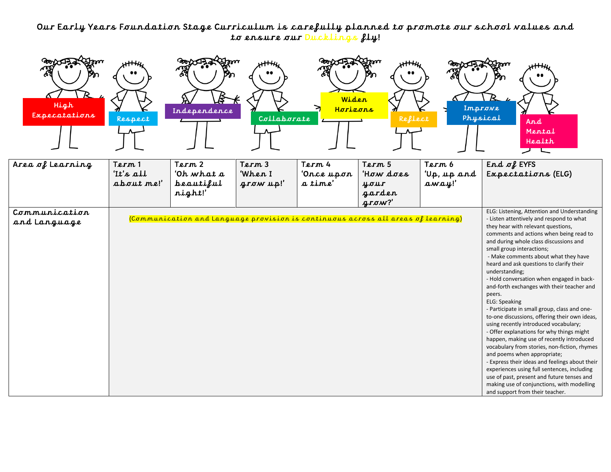## Our Early Years Foundation Stage Curriculum is carefully planned to promote our school values and to ensure our Ducklings fly!

| High<br>Expecatations         | Respect                           | Independence                                                                      | Collaborate                    | Widen<br>Horizons               | Reflect                                                     | Improve<br>Physical            | And<br>Mental<br>Health<br>レト                                                                                                                                                                                                                                                                                                                                                                                                                                                                                                                                                                                                                                                                                                                                                                                                                                                                                                                                                                                                         |
|-------------------------------|-----------------------------------|-----------------------------------------------------------------------------------|--------------------------------|---------------------------------|-------------------------------------------------------------|--------------------------------|---------------------------------------------------------------------------------------------------------------------------------------------------------------------------------------------------------------------------------------------------------------------------------------------------------------------------------------------------------------------------------------------------------------------------------------------------------------------------------------------------------------------------------------------------------------------------------------------------------------------------------------------------------------------------------------------------------------------------------------------------------------------------------------------------------------------------------------------------------------------------------------------------------------------------------------------------------------------------------------------------------------------------------------|
| Area of Learning              | Term 1<br>'It's all<br>about me!' | Term 2<br>'Oh what a<br>heautiful<br>night!'                                      | Term 3<br>'When I<br>grow up!' | Term 4<br>'Once upon<br>a time' | Term 5<br>'How does<br>your<br>garden<br>$\mathbf{q}$ row?' | Term 6<br>Up, up and<br>away!' | End $\sigma$ EYFS<br>Expectations (ELG)                                                                                                                                                                                                                                                                                                                                                                                                                                                                                                                                                                                                                                                                                                                                                                                                                                                                                                                                                                                               |
| Communication<br>and Language |                                   | (Communication and Language provision is continuous across all areas of learning) |                                |                                 |                                                             |                                | ELG: Listening, Attention and Understanding<br>- Listen attentively and respond to what<br>they hear with relevant questions,<br>comments and actions when being read to<br>and during whole class discussions and<br>small group interactions;<br>- Make comments about what they have<br>heard and ask questions to clarify their<br>understanding;<br>- Hold conversation when engaged in back-<br>and-forth exchanges with their teacher and<br>peers.<br><b>ELG: Speaking</b><br>- Participate in small group, class and one-<br>to-one discussions, offering their own ideas,<br>using recently introduced vocabulary;<br>- Offer explanations for why things might<br>happen, making use of recently introduced<br>vocabulary from stories, non-fiction, rhymes<br>and poems when appropriate;<br>- Express their ideas and feelings about their<br>experiences using full sentences, including<br>use of past, present and future tenses and<br>making use of conjunctions, with modelling<br>and support from their teacher. |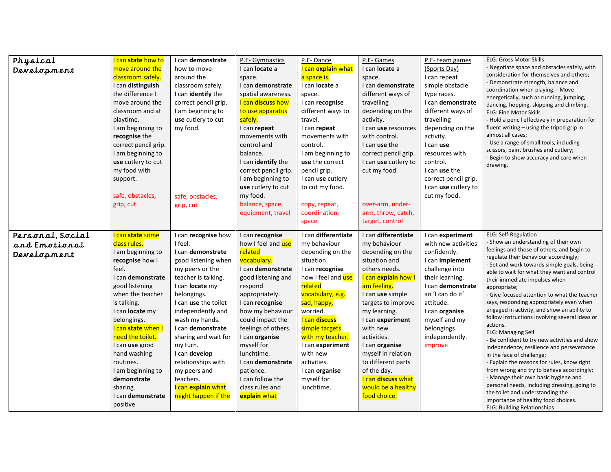| Physical         | I can state how to        | I can <b>demonstrate</b> | P.E- Gymnastics      | P.E-Dance           | P.E- Games            | P.E- team games      | <b>ELG: Gross Motor Skills</b>                                                           |
|------------------|---------------------------|--------------------------|----------------------|---------------------|-----------------------|----------------------|------------------------------------------------------------------------------------------|
| Development      | move around the           | how to move              | I can locate a       | I can explain what  | I can <b>locate</b> a | (Sports Day)         | - Negotiate space and obstacles safely, with                                             |
|                  | classroom safely.         | around the               | space.               | a space is.         | space.                | I can repeat         | consideration for themselves and others;                                                 |
|                  | I can distinguish         | classroom safely.        | I can demonstrate    | I can locate a      | I can demonstrate     | simple obstacle      | - Demonstrate strength, balance and                                                      |
|                  | the difference I          | I can identify the       | spatial awareness.   | space.              | different ways of     | type races.          | coordination when playing; - Move<br>energetically, such as running, jumping,            |
|                  | move around the           | correct pencil grip.     | I can discuss how    | I can recognise     | travelling            | I can demonstrate    | dancing, hopping, skipping and climbing.                                                 |
|                  | classroom and at          | I am beginning to        | to use apparatus     | different ways to   | depending on the      | different ways of    | <b>ELG: Fine Motor Skills</b>                                                            |
|                  | playtime.                 | use cutlery to cut       | safely.              | travel.             | activity.             | travelling           | - Hold a pencil effectively in preparation for                                           |
|                  | I am beginning to         | my food.                 | I can repeat         | I can repeat        | I can use resources   | depending on the     | fluent writing - using the tripod grip in                                                |
|                  | recognise the             |                          | movements with       | movements with      | with control.         | activity.            | almost all cases;                                                                        |
|                  | correct pencil grip.      |                          | control and          | control.            | I can use the         | I can use            | - Use a range of small tools, including                                                  |
|                  | I am beginning to         |                          | balance.             | I am beginning to   | correct pencil grip.  | resources with       | scissors, paint brushes and cutlery;                                                     |
|                  | use cutlery to cut        |                          | I can identify the   | use the correct     | I can use cutlery to  | control.             | Begin to show accuracy and care when                                                     |
|                  | my food with              |                          | correct pencil grip. | pencil grip.        | cut my food.          | I can use the        | drawing.                                                                                 |
|                  | support.                  |                          | I am beginning to    | I can use cutlery   |                       | correct pencil grip. |                                                                                          |
|                  |                           |                          | use cutlery to cut   | to cut my food.     |                       | I can use cutlery to |                                                                                          |
|                  | safe, obstacles,          | safe, obstacles,         | my food.             |                     |                       | cut my food.         |                                                                                          |
|                  | grip, cut                 | grip, cut                | balance, space,      | copy, repeat,       | over-arm, under-      |                      |                                                                                          |
|                  |                           |                          | equipment, travel    | coordination,       | arm, throw, catch,    |                      |                                                                                          |
|                  |                           |                          |                      | space               | target, control       |                      |                                                                                          |
|                  |                           |                          |                      |                     |                       |                      |                                                                                          |
| Personal, Social | I can state some          | I can recognise how      | I can recognise      | I can differentiate | I can differentiate   | I can experiment     | <b>ELG: Self-Regulation</b>                                                              |
| and Emotional    | class rules.              | I feel.                  | how I feel and use   | my behaviour        | my behaviour          | with new activities  | - Show an understanding of their own<br>feelings and those of others, and begin to       |
| Development      | I am beginning to         | I can demonstrate        | related              | depending on the    | depending on the      | confidently.         | regulate their behaviour accordingly;                                                    |
|                  | recognise how I           | good listening when      | vocabulary.          | situation.          | situation and         | I can implement      | - Set and work towards simple goals, being                                               |
|                  | feel.                     | my peers or the          | I can demonstrate    | I can recognise     | others needs.         | challenge into       | able to wait for what they want and control                                              |
|                  | I can <b>demonstrate</b>  | teacher is talking.      | good listening and   | how I feel and use  | I can explain how I   | their learning.      | their immediate impulses when                                                            |
|                  | good listening            | I can locate my          | respond              | related             | am feeling.           | I can demonstrate    | appropriate;                                                                             |
|                  | when the teacher          | belongings.              | appropriately.       | vocabulary, e.g.    | I can use simple      | an 'I can do it'     | - Give focused attention to what the teacher                                             |
|                  | is talking.               | I can use the toilet     | I can recognise      | sad, happy,         | targets to improve    | attitude.            | says, responding appropriately even when<br>engaged in activity, and show an ability to  |
|                  | I can <b>locate</b> my    | independently and        | how my behaviour     | worried.            | my learning.          | I can organise       | follow instructions involving several ideas or                                           |
|                  | belongings.               | wash my hands.           | could impact the     | I can discuss       | I can experiment      | myself and my        | actions.                                                                                 |
|                  | I can <b>state</b> when I | I can demonstrate        | feelings of others.  | simple targets      | with new              | belongings           | <b>ELG: Managing Self</b>                                                                |
|                  | need the toilet.          | sharing and wait for     | I can organise       | with my teacher.    | activities.           | independently.       | - Be confident to try new activities and show                                            |
|                  | I can use good            | my turn.                 | myself for           | I can experiment    | I can organise        | improve              | independence, resilience and perseverance                                                |
|                  | hand washing              | I can develop            | lunchtime.           | with new            | myself in relation    |                      | in the face of challenge;                                                                |
|                  | routines.                 | relationships with       | I can demonstrate    | activities.         | to different parts    |                      | - Explain the reasons for rules, know right<br>from wrong and try to behave accordingly; |
|                  | I am beginning to         | my peers and             | patience.            | I can organise      | of the day.           |                      | - Manage their own basic hygiene and                                                     |
|                  | demonstrate               | teachers.                | I can follow the     | myself for          | I can discuss what    |                      | personal needs, including dressing, going to                                             |
|                  | sharing.                  | I can explain what       | class rules and      | lunchtime.          | would be a healthy    |                      | the toilet and understanding the                                                         |
|                  | can demonstrate           | might happen if the      | explain what         |                     | food choice.          |                      | importance of healthy food choices.                                                      |
|                  | positive                  |                          |                      |                     |                       |                      | <b>ELG: Building Relationships</b>                                                       |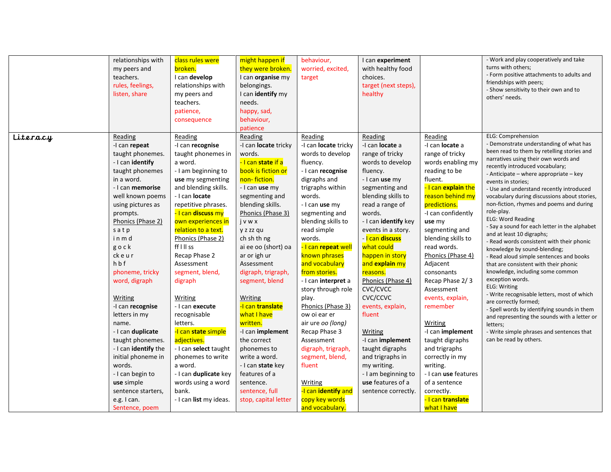|          | relationships with<br>my peers and<br>teachers. | class rules were<br>broken.<br>I can develop | might happen if<br>they were broken.<br>I can organise my | behaviour,<br>worried, excited,<br>target | I can experiment<br>with healthy food<br>choices. |                               | - Work and play cooperatively and take<br>turns with others;<br>- Form positive attachments to adults and |
|----------|-------------------------------------------------|----------------------------------------------|-----------------------------------------------------------|-------------------------------------------|---------------------------------------------------|-------------------------------|-----------------------------------------------------------------------------------------------------------|
|          | rules, feelings,                                | relationships with                           | belongings.                                               |                                           | target (next steps),                              |                               | friendships with peers;<br>- Show sensitivity to their own and to                                         |
|          | listen, share                                   | my peers and                                 | I can identify my                                         |                                           | healthy                                           |                               | others' needs.                                                                                            |
|          |                                                 | teachers.                                    | needs.                                                    |                                           |                                                   |                               |                                                                                                           |
|          |                                                 | patience,                                    | happy, sad,                                               |                                           |                                                   |                               |                                                                                                           |
|          |                                                 | consequence                                  | behaviour,                                                |                                           |                                                   |                               |                                                                                                           |
|          |                                                 |                                              | patience                                                  |                                           |                                                   |                               |                                                                                                           |
| Literacy | Reading                                         | Reading                                      | Reading                                                   | Reading                                   | Reading                                           | Reading                       | ELG: Comprehension<br>Demonstrate understanding of what has                                               |
|          | -I can repeat                                   | -I can recognise                             | -I can locate tricky                                      | -I can locate tricky                      | -I can locate a                                   | -I can locate a               | been read to them by retelling stories and                                                                |
|          | taught phonemes.                                | taught phonemes in                           | words.                                                    | words to develop                          | range of tricky                                   | range of tricky               | narratives using their own words and                                                                      |
|          | - I can identify                                | a word.                                      | -I can state if a                                         | fluency.                                  | words to develop                                  | words enabling my             | recently introduced vocabulary;                                                                           |
|          | taught phonemes                                 | - I am beginning to                          | book is fiction or                                        | - I can recognise                         | fluency.                                          | reading to be                 | - Anticipate – where appropriate – key                                                                    |
|          | in a word.<br>- I can memorise                  | use my segmenting<br>and blending skills.    | non-fiction.                                              | digraphs and                              | - I can use my                                    | fluent.<br>-I can explain the | events in stories;                                                                                        |
|          | well known poems                                | - I can <b>locate</b>                        | - I can use my                                            | trigraphs within<br>words.                | segmenting and<br>blending skills to              | reason behind my              | - Use and understand recently introduced                                                                  |
|          | using pictures as                               | repetitive phrases.                          | segmenting and<br>blending skills.                        | - I can use my                            | read a range of                                   | predictions.                  | vocabulary during discussions about stories,<br>non-fiction, rhymes and poems and during                  |
|          | prompts.                                        | <mark>- I can discuss my</mark>              | Phonics (Phase 3)                                         | segmenting and                            | words.                                            | -I can confidently            | role-play.                                                                                                |
|          | Phonics (Phase 2)                               | own experiences in                           | jvwx                                                      | blending skills to                        | - I can identify key                              | use my                        | <b>ELG: Word Reading</b>                                                                                  |
|          | satp                                            | relation to a text.                          | y z zz qu                                                 | read simple                               | events in a story.                                | segmenting and                | - Say a sound for each letter in the alphabet                                                             |
|          | inmd                                            | Phonics (Phase 2)                            | ch sh th ng                                               | words.                                    | - I can discuss                                   | blending skills to            | and at least 10 digraphs;                                                                                 |
|          | gock                                            | ff I II ss                                   | ai ee oo (short) oa                                       | - I can repeat well                       | what could                                        | read words.                   | - Read words consistent with their phonic                                                                 |
|          | ckeur                                           | Recap Phase 2                                | ar or igh ur                                              | known phrases                             | happen in story                                   | Phonics (Phase 4)             | knowledge by sound-blending;<br>- Read aloud simple sentences and books                                   |
|          | hbf                                             | Assessment                                   | Assessment                                                | and vocabulary                            | and explain my                                    | Adjacent                      | that are consistent with their phonic                                                                     |
|          | phoneme, tricky                                 | segment, blend,                              | digraph, trigraph,                                        | from stories.                             | reasons.                                          | consonants                    | knowledge, including some common                                                                          |
|          | word, digraph                                   | digraph                                      | segment, blend                                            | - I can <b>interpret</b> a                | Phonics (Phase 4)                                 | Recap Phase 2/3               | exception words.                                                                                          |
|          |                                                 |                                              |                                                           | story through role                        | CVC/CVCC                                          | Assessment                    | ELG: Writing                                                                                              |
|          | Writing                                         | Writing                                      | Writing                                                   | play.                                     | CVC/CCVC                                          | events, explain,              | - Write recognisable letters, most of which                                                               |
|          | -I can recognise                                | - I can execute                              | -I can translate                                          | Phonics (Phase 3)                         | events, explain,                                  | remember                      | are correctly formed;<br>- Spell words by identifying sounds in them                                      |
|          | letters in my                                   | recognisable                                 | what I have                                               | ow oi ear er                              | fluent                                            |                               | and representing the sounds with a letter or                                                              |
|          | name.                                           | letters.                                     | written.                                                  | air ure oo (long)                         |                                                   | Writing                       | letters;                                                                                                  |
|          | - I can duplicate                               | -I can state simple                          | -I can implement                                          | Recap Phase 3                             | <b>Writing</b>                                    | -I can implement              | - Write simple phrases and sentences that                                                                 |
|          | taught phonemes.                                | adjectives.                                  | the correct                                               | Assessment                                | -I can implement                                  | taught digraphs               | can be read by others.                                                                                    |
|          | - I can identify the                            | - I can <b>select</b> taught                 | phonemes to                                               | digraph, trigraph,                        | taught digraphs                                   | and trigraphs                 |                                                                                                           |
|          | initial phoneme in                              | phonemes to write                            | write a word.                                             | segment, blend,                           | and trigraphs in                                  | correctly in my               |                                                                                                           |
|          | words.                                          | a word.                                      | - I can state key                                         | fluent                                    | my writing.                                       | writing.                      |                                                                                                           |
|          | - I can begin to                                | - I can duplicate key                        | features of a                                             |                                           | - I am beginning to                               | - I can use features          |                                                                                                           |
|          | use simple                                      | words using a word                           | sentence.                                                 | Writing                                   | use features of a                                 | of a sentence                 |                                                                                                           |
|          | sentence starters,                              | bank.                                        | sentence, full                                            | -I can identify and                       | sentence correctly.                               | correctly.                    |                                                                                                           |
|          | e.g. I can.                                     | - I can list my ideas.                       | stop, capital letter                                      | copy key words                            |                                                   | - I can translate             |                                                                                                           |
|          | Sentence, poem                                  |                                              |                                                           | and vocabulary.                           |                                                   | what I have                   |                                                                                                           |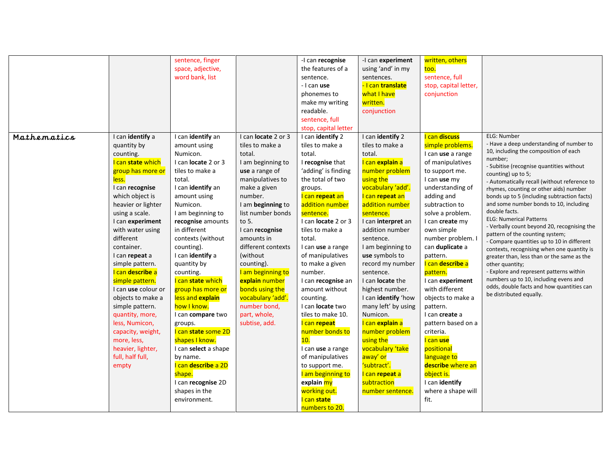|             |                     | sentence, finger                     |                     | -I can recognise<br>the features of a | -I can experiment<br>using 'and' in my | written, others        |                                                                                          |
|-------------|---------------------|--------------------------------------|---------------------|---------------------------------------|----------------------------------------|------------------------|------------------------------------------------------------------------------------------|
|             |                     | space, adjective,<br>word bank, list |                     | sentence.                             |                                        | too.<br>sentence, full |                                                                                          |
|             |                     |                                      |                     | - I can use                           | sentences.<br>- I can translate        | stop, capital letter,  |                                                                                          |
|             |                     |                                      |                     | phonemes to                           | what I have                            | conjunction            |                                                                                          |
|             |                     |                                      |                     |                                       | written.                               |                        |                                                                                          |
|             |                     |                                      |                     | make my writing<br>readable.          |                                        |                        |                                                                                          |
|             |                     |                                      |                     | sentence, full                        | conjunction                            |                        |                                                                                          |
|             |                     |                                      |                     | stop, capital letter                  |                                        |                        |                                                                                          |
| Mathematics | I can identify a    | I can identify an                    | I can locate 2 or 3 | I can identify 2                      | I can identify 2                       | I can discuss          | ELG: Number                                                                              |
|             | quantity by         | amount using                         | tiles to make a     | tiles to make a                       | tiles to make a                        | simple problems.       | - Have a deep understanding of number to                                                 |
|             | counting.           | Numicon.                             | total.              | total.                                | total.                                 | I can use a range      | 10, including the composition of each                                                    |
|             | I can state which   | I can <b>locate</b> 2 or 3           | I am beginning to   | I recognise that                      | I can explain a                        | of manipulatives       | number;                                                                                  |
|             | group has more or   | tiles to make a                      | use a range of      | 'adding' is finding                   | number problem                         | to support me.         | - Subitise (recognise quantities without                                                 |
|             | less.               | total.                               | manipulatives to    | the total of two                      | using the                              | I can use my           | counting) up to 5;                                                                       |
|             | I can recognise     | I can identify an                    | make a given        | groups.                               | vocabulary 'add'.                      | understanding of       | - Automatically recall (without reference to<br>rhymes, counting or other aids) number   |
|             | which object is     | amount using                         | number.             | I can repeat an                       | I can repeat an                        | adding and             | bonds up to 5 (including subtraction facts)                                              |
|             | heavier or lighter  | Numicon.                             | I am beginning to   | addition number                       | addition number                        | subtraction to         | and some number bonds to 10, including                                                   |
|             | using a scale.      | I am beginning to                    | list number bonds   | sentence.                             | sentence.                              | solve a problem.       | double facts.                                                                            |
|             | I can experiment    | recognise amounts                    | to 5.               | I can <b>locate</b> 2 or 3            | I can interpret an                     | I can create my        | <b>ELG: Numerical Patterns</b>                                                           |
|             | with water using    | in different                         | I can recognise     | tiles to make a                       | addition number                        | own simple             | - Verbally count beyond 20, recognising the                                              |
|             | different           | contexts (without                    | amounts in          | total.                                | sentence.                              | number problem. I      | pattern of the counting system;                                                          |
|             | container.          | counting).                           | different contexts  | I can use a range                     | I am beginning to                      | can duplicate a        | - Compare quantities up to 10 in different<br>contexts, recognising when one quantity is |
|             | I can repeat a      | I can identify a                     | (without)           | of manipulatives                      | use symbols to                         | pattern.               | greater than, less than or the same as the                                               |
|             | simple pattern.     | quantity by                          | counting).          | to make a given                       | record my number                       | I can describe a       | other quantity;                                                                          |
|             | I can describe a    | counting.                            | I am beginning to   | number.                               | sentence.                              | pattern.               | - Explore and represent patterns within                                                  |
|             | simple pattern.     | I can state which                    | explain number      | I can recognise an                    | I can <b>locate</b> the                | I can experiment       | numbers up to 10, including evens and                                                    |
|             | I can use colour or | group has more or                    | bonds using the     | amount without                        | highest number.                        | with different         | odds, double facts and how quantities can                                                |
|             | objects to make a   | less and explain                     | vocabulary 'add'.   | counting.                             | I can identify 'how                    | objects to make a      | be distributed equally.                                                                  |
|             | simple pattern.     | how I know.                          | number bond,        | I can <b>locate</b> two               | many left' by using                    | pattern.               |                                                                                          |
|             | quantity, more,     | I can compare two                    | part, whole,        | tiles to make 10.                     | Numicon.                               | I can create a         |                                                                                          |
|             | less, Numicon,      | groups.                              | subtise, add.       | I can repeat                          | I can explain a                        | pattern based on a     |                                                                                          |
|             | capacity, weight,   | I can state some 2D                  |                     | number bonds to                       | number problem                         | criteria.              |                                                                                          |
|             | more, less,         | shapes I know.                       |                     | 10.                                   | using the                              | I can use              |                                                                                          |
|             | heavier, lighter,   | I can select a shape                 |                     | I can use a range                     | vocabulary 'take                       | positional             |                                                                                          |
|             | full, half full,    | by name.                             |                     | of manipulatives                      | away' or                               | language to            |                                                                                          |
|             | empty               | I can <b>describe</b> a 2D           |                     | to support me.                        | 'subtract'.                            | describe where an      |                                                                                          |
|             |                     | shape.                               |                     | I am beginning to                     | I can repeat a                         | object is.             |                                                                                          |
|             |                     | I can recognise 2D                   |                     | explain my                            | subtraction                            | I can identify         |                                                                                          |
|             |                     | shapes in the                        |                     | working out.                          | number sentence.                       | where a shape will     |                                                                                          |
|             |                     | environment.                         |                     | I can state                           |                                        | fit.                   |                                                                                          |
|             |                     |                                      |                     | numbers to 20.                        |                                        |                        |                                                                                          |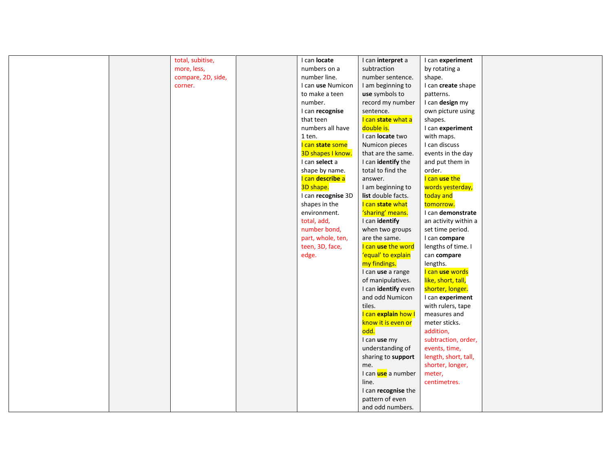|  | total, subitise,   | I can locate       | I can interpret a   | I can experiment     |  |
|--|--------------------|--------------------|---------------------|----------------------|--|
|  | more, less,        | numbers on a       | subtraction         | by rotating a        |  |
|  | compare, 2D, side, | number line.       | number sentence.    | shape.               |  |
|  | corner.            | I can use Numicon  | I am beginning to   | I can create shape   |  |
|  |                    | to make a teen     | use symbols to      | patterns.            |  |
|  |                    | number.            | record my number    | I can design my      |  |
|  |                    | I can recognise    | sentence.           | own picture using    |  |
|  |                    | that teen          | I can state what a  | shapes.              |  |
|  |                    | numbers all have   | double is.          | I can experiment     |  |
|  |                    | 1 ten.             | I can locate two    | with maps.           |  |
|  |                    | I can state some   | Numicon pieces      | I can discuss        |  |
|  |                    | 3D shapes I know.  | that are the same.  | events in the day    |  |
|  |                    | I can select a     | I can identify the  | and put them in      |  |
|  |                    | shape by name.     | total to find the   | order.               |  |
|  |                    | I can describe a   | answer.             | I can use the        |  |
|  |                    | 3D shape.          | I am beginning to   | words yesterday,     |  |
|  |                    | I can recognise 3D | list double facts.  | today and            |  |
|  |                    | shapes in the      | I can state what    | tomorrow.            |  |
|  |                    | environment.       | 'sharing' means.    | I can demonstrate    |  |
|  |                    | total, add,        | I can identify      | an activity within a |  |
|  |                    | number bond,       | when two groups     | set time period.     |  |
|  |                    | part, whole, ten,  | are the same.       | I can compare        |  |
|  |                    | teen, 3D, face,    | I can use the word  | lengths of time. I   |  |
|  |                    | edge.              | 'equal' to explain  | can compare          |  |
|  |                    |                    | my findings.        | lengths.             |  |
|  |                    |                    | I can use a range   | I can use words      |  |
|  |                    |                    | of manipulatives.   | like, short, tall,   |  |
|  |                    |                    | I can identify even | shorter, longer.     |  |
|  |                    |                    | and odd Numicon     | I can experiment     |  |
|  |                    |                    | tiles.              | with rulers, tape    |  |
|  |                    |                    | I can explain how I | measures and         |  |
|  |                    |                    | know it is even or  | meter sticks.        |  |
|  |                    |                    | odd.                | addition,            |  |
|  |                    |                    | I can use my        | subtraction, order,  |  |
|  |                    |                    | understanding of    | events, time,        |  |
|  |                    |                    | sharing to support  | length, short, tall, |  |
|  |                    |                    | me.                 | shorter, longer,     |  |
|  |                    |                    | I can use a number  | meter,               |  |
|  |                    |                    | line.               | centimetres.         |  |
|  |                    |                    | I can recognise the |                      |  |
|  |                    |                    | pattern of even     |                      |  |
|  |                    |                    | and odd numbers.    |                      |  |
|  |                    |                    |                     |                      |  |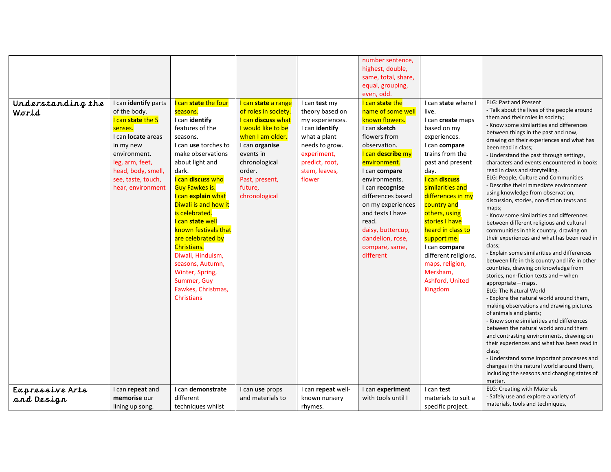| Understanding the<br>World    | I can identify parts<br>of the body.<br>I can state the 5<br>senses.<br>I can <b>locate</b> areas<br>in my new<br>environment.<br>leg, arm, feet,<br>head, body, smell,<br>see, taste, touch,<br>hear, environment | I can state the four<br>seasons.<br>I can identify<br>features of the<br>seasons.<br>I can use torches to<br>make observations<br>about light and<br>dark.<br>I can discuss who<br>Guy Fawkes is.<br>I can explain what<br>Diwali is and how it<br>is celebrated.<br>I can state well<br>known festivals that<br>are celebrated by<br>Christians.<br>Diwali, Hinduism,<br>seasons, Autumn,<br>Winter, Spring,<br>Summer, Guy<br>Fawkes, Christmas,<br><b>Christians</b> | I can state a range<br>of roles in society.<br>I can discuss what<br>I would like to be<br>when I am older.<br>I can organise<br>events in<br>chronological<br>order.<br>Past, present,<br>future,<br>chronological | I can test my<br>theory based on<br>my experiences.<br>I can identify<br>what a plant<br>needs to grow.<br>experiment,<br>predict, root,<br>stem, leaves,<br>flower | number sentence,<br>highest, double,<br>same, total, share,<br>equal, grouping,<br>even, odd.<br>I can state the<br>name of some well<br>known flowers.<br>I can sketch<br>flowers from<br>observation.<br>I can describe my<br>environment.<br>I can compare<br>environments.<br>I can recognise<br>differences based<br>on my experiences<br>and texts I have<br>read.<br>daisy, buttercup,<br>dandelion, rose,<br>compare, same,<br>different | I can state where I<br>live.<br>I can create maps<br>based on my<br>experiences.<br>I can compare<br>trains from the<br>past and present<br>day.<br>I can discuss<br>similarities and<br>differences in my<br>country and<br>others, using<br>stories I have<br>heard in class to<br>support me.<br>I can compare<br>different religions.<br>maps, religion,<br>Mersham,<br>Ashford, United<br>Kingdom | <b>ELG: Past and Present</b><br>- Talk about the lives of the people around<br>them and their roles in society;<br>- Know some similarities and differences<br>between things in the past and now,<br>drawing on their experiences and what has<br>been read in class;<br>- Understand the past through settings,<br>characters and events encountered in books<br>read in class and storytelling.<br>ELG: People, Culture and Communities<br>- Describe their immediate environment<br>using knowledge from observation,<br>discussion, stories, non-fiction texts and<br>maps;<br>- Know some similarities and differences<br>between different religious and cultural<br>communities in this country, drawing on<br>their experiences and what has been read in<br>class;<br>- Explain some similarities and differences<br>between life in this country and life in other<br>countries, drawing on knowledge from<br>stories, non-fiction texts and - when<br>appropriate - maps.<br><b>ELG: The Natural World</b><br>- Explore the natural world around them,<br>making observations and drawing pictures<br>of animals and plants;<br>- Know some similarities and differences<br>between the natural world around them<br>and contrasting environments, drawing on<br>their experiences and what has been read in<br>class:<br>- Understand some important processes and<br>changes in the natural world around them, |
|-------------------------------|--------------------------------------------------------------------------------------------------------------------------------------------------------------------------------------------------------------------|-------------------------------------------------------------------------------------------------------------------------------------------------------------------------------------------------------------------------------------------------------------------------------------------------------------------------------------------------------------------------------------------------------------------------------------------------------------------------|---------------------------------------------------------------------------------------------------------------------------------------------------------------------------------------------------------------------|---------------------------------------------------------------------------------------------------------------------------------------------------------------------|--------------------------------------------------------------------------------------------------------------------------------------------------------------------------------------------------------------------------------------------------------------------------------------------------------------------------------------------------------------------------------------------------------------------------------------------------|--------------------------------------------------------------------------------------------------------------------------------------------------------------------------------------------------------------------------------------------------------------------------------------------------------------------------------------------------------------------------------------------------------|------------------------------------------------------------------------------------------------------------------------------------------------------------------------------------------------------------------------------------------------------------------------------------------------------------------------------------------------------------------------------------------------------------------------------------------------------------------------------------------------------------------------------------------------------------------------------------------------------------------------------------------------------------------------------------------------------------------------------------------------------------------------------------------------------------------------------------------------------------------------------------------------------------------------------------------------------------------------------------------------------------------------------------------------------------------------------------------------------------------------------------------------------------------------------------------------------------------------------------------------------------------------------------------------------------------------------------------------------------------------------------------------------------------------------|
|                               | I can repeat and                                                                                                                                                                                                   | I can demonstrate                                                                                                                                                                                                                                                                                                                                                                                                                                                       | I can use props                                                                                                                                                                                                     | I can repeat well-                                                                                                                                                  | I can experiment                                                                                                                                                                                                                                                                                                                                                                                                                                 | I can test                                                                                                                                                                                                                                                                                                                                                                                             | including the seasons and changing states of<br>matter.<br>ELG: Creating with Materials                                                                                                                                                                                                                                                                                                                                                                                                                                                                                                                                                                                                                                                                                                                                                                                                                                                                                                                                                                                                                                                                                                                                                                                                                                                                                                                                      |
| Expressive Arts<br>and Design | memorise our<br>lining up song.                                                                                                                                                                                    | different<br>techniques whilst                                                                                                                                                                                                                                                                                                                                                                                                                                          | and materials to                                                                                                                                                                                                    | known nursery<br>rhymes.                                                                                                                                            | with tools until I                                                                                                                                                                                                                                                                                                                                                                                                                               | materials to suit a<br>specific project.                                                                                                                                                                                                                                                                                                                                                               | - Safely use and explore a variety of<br>materials, tools and techniques,                                                                                                                                                                                                                                                                                                                                                                                                                                                                                                                                                                                                                                                                                                                                                                                                                                                                                                                                                                                                                                                                                                                                                                                                                                                                                                                                                    |